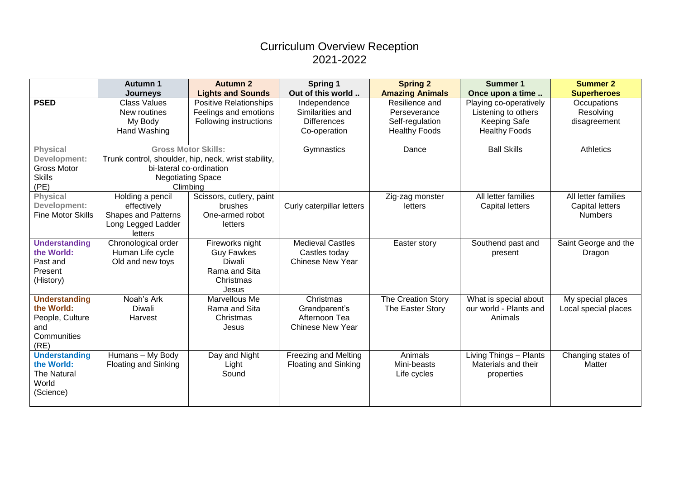## Curriculum Overview Reception 2021-2022

|                          | <b>Autumn 1</b>                                      | <b>Autumn 2</b>               | Spring 1                    | <b>Spring 2</b>        | <b>Summer 1</b>        | <b>Summer 2</b>      |
|--------------------------|------------------------------------------------------|-------------------------------|-----------------------------|------------------------|------------------------|----------------------|
|                          | <b>Journeys</b>                                      | <b>Lights and Sounds</b>      | Out of this world           | <b>Amazing Animals</b> | Once upon a time       | <b>Superheroes</b>   |
| <b>PSED</b>              | <b>Class Values</b>                                  | <b>Positive Relationships</b> | Independence                | Resilience and         | Playing co-operatively | Occupations          |
|                          | New routines                                         | Feelings and emotions         | Similarities and            | Perseverance           | Listening to others    | Resolving            |
|                          | My Body                                              | Following instructions        | <b>Differences</b>          | Self-regulation        | <b>Keeping Safe</b>    | disagreement         |
|                          | Hand Washing                                         |                               | Co-operation                | <b>Healthy Foods</b>   | <b>Healthy Foods</b>   |                      |
|                          |                                                      |                               |                             |                        |                        |                      |
| <b>Physical</b>          | <b>Gross Motor Skills:</b>                           |                               | Gymnastics                  | Dance                  | <b>Ball Skills</b>     | Athletics            |
| Development:             | Trunk control, shoulder, hip, neck, wrist stability, |                               |                             |                        |                        |                      |
| <b>Gross Motor</b>       | bi-lateral co-ordination                             |                               |                             |                        |                        |                      |
| <b>Skills</b>            |                                                      | <b>Negotiating Space</b>      |                             |                        |                        |                      |
| (PE)                     | Climbing                                             |                               |                             |                        |                        |                      |
| <b>Physical</b>          | Holding a pencil                                     | Scissors, cutlery, paint      |                             | Zig-zag monster        | All letter families    | All letter families  |
| Development:             | effectively                                          | <b>brushes</b>                | Curly caterpillar letters   | letters                | <b>Capital letters</b> | Capital letters      |
| <b>Fine Motor Skills</b> | <b>Shapes and Patterns</b>                           | One-armed robot               |                             |                        |                        | <b>Numbers</b>       |
|                          | Long Legged Ladder<br>letters                        | letters                       |                             |                        |                        |                      |
| <b>Understanding</b>     | Chronological order                                  | Fireworks night               | <b>Medieval Castles</b>     | Easter story           | Southend past and      | Saint George and the |
| the World:               | Human Life cycle                                     | <b>Guy Fawkes</b>             | Castles today               |                        |                        |                      |
| Past and                 | Old and new toys                                     | Diwali                        | <b>Chinese New Year</b>     |                        | present                | Dragon               |
| Present                  |                                                      | Rama and Sita                 |                             |                        |                        |                      |
| (History)                |                                                      | Christmas                     |                             |                        |                        |                      |
|                          |                                                      | Jesus                         |                             |                        |                        |                      |
| <b>Understanding</b>     | Noah's Ark                                           | Marvellous Me                 | Christmas                   | The Creation Story     | What is special about  | My special places    |
| the World:               | Diwali                                               | Rama and Sita                 | Grandparent's               | The Easter Story       | our world - Plants and | Local special places |
| People, Culture          | Harvest                                              | Christmas                     | Afternoon Tea               |                        | Animals                |                      |
| and                      |                                                      | Jesus                         | <b>Chinese New Year</b>     |                        |                        |                      |
| Communities              |                                                      |                               |                             |                        |                        |                      |
| (RE)                     |                                                      |                               |                             |                        |                        |                      |
| <b>Understanding</b>     | Humans - My Body                                     | Day and Night                 | <b>Freezing and Melting</b> | Animals                | Living Things - Plants | Changing states of   |
| the World:               | <b>Floating and Sinking</b>                          | Light                         | <b>Floating and Sinking</b> | Mini-beasts            | Materials and their    | Matter               |
| <b>The Natural</b>       |                                                      | Sound                         |                             | Life cycles            | properties             |                      |
| World                    |                                                      |                               |                             |                        |                        |                      |
| (Science)                |                                                      |                               |                             |                        |                        |                      |
|                          |                                                      |                               |                             |                        |                        |                      |